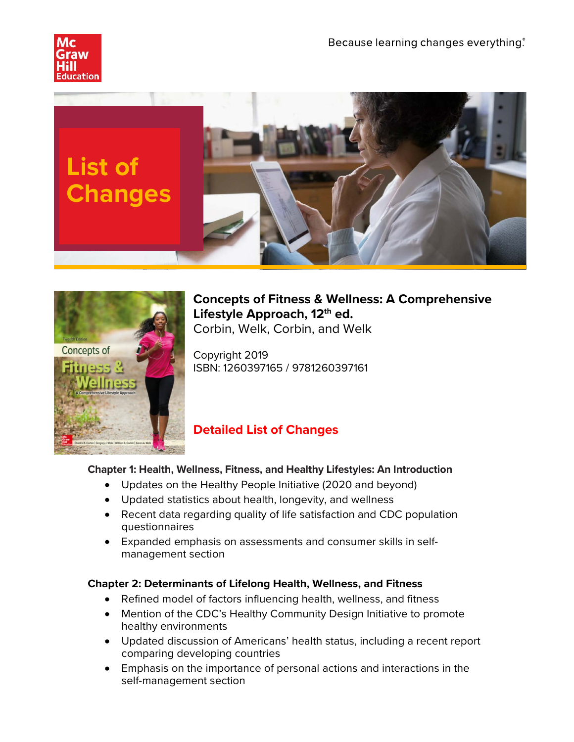





**Concepts of Fitness & Wellness: A Comprehensive Lifestyle Approach, 12th ed.** Corbin, Welk, Corbin, and Welk

Copyright 2019 ISBN: 1260397165 / 9781260397161

# **Detailed List of Changes**

# **Chapter 1: Health, Wellness, Fitness, and Healthy Lifestyles: An Introduction**

- Updates on the Healthy People Initiative (2020 and beyond)
- Updated statistics about health, longevity, and wellness
- Recent data regarding quality of life satisfaction and CDC population questionnaires
- Expanded emphasis on assessments and consumer skills in selfmanagement section

# **Chapter 2: Determinants of Lifelong Health, Wellness, and Fitness**

- Refined model of factors influencing health, wellness, and fitness
- Mention of the CDC's Healthy Community Design Initiative to promote healthy environments
- Updated discussion of Americans' health status, including a recent report comparing developing countries
- Emphasis on the importance of personal actions and interactions in the self-management section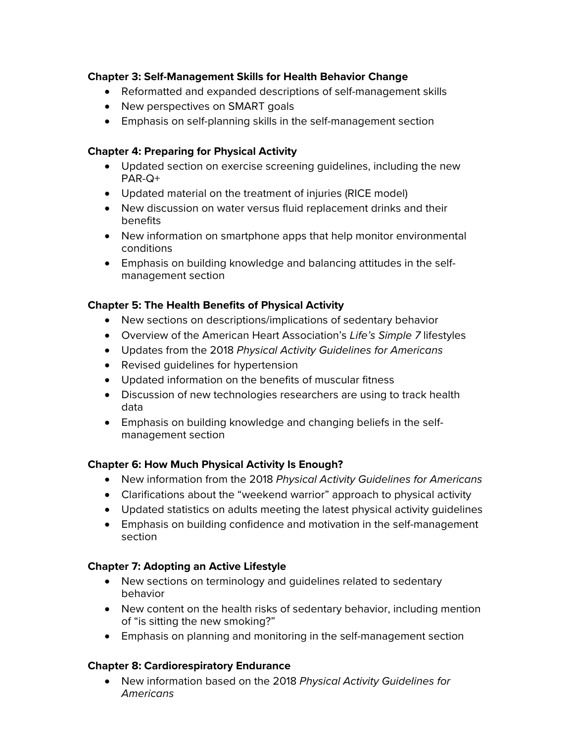## **Chapter 3: Self-Management Skills for Health Behavior Change**

- Reformatted and expanded descriptions of self-management skills
- New perspectives on SMART goals
- Emphasis on self-planning skills in the self-management section

#### **Chapter 4: Preparing for Physical Activity**

- Updated section on exercise screening guidelines, including the new PAR-Q+
- Updated material on the treatment of injuries (RICE model)
- New discussion on water versus fluid replacement drinks and their benefits
- New information on smartphone apps that help monitor environmental conditions
- Emphasis on building knowledge and balancing attitudes in the selfmanagement section

## **Chapter 5: The Health Benefits of Physical Activity**

- New sections on descriptions/implications of sedentary behavior
- Overview of the American Heart Association's *Life's Simple 7* lifestyles
- Updates from the 2018 *Physical Activity Guidelines for Americans*
- Revised guidelines for hypertension
- Updated information on the benefits of muscular fitness
- Discussion of new technologies researchers are using to track health data
- Emphasis on building knowledge and changing beliefs in the selfmanagement section

# **Chapter 6: How Much Physical Activity Is Enough?**

- New information from the 2018 *Physical Activity Guidelines for Americans*
- Clarifications about the "weekend warrior" approach to physical activity
- Updated statistics on adults meeting the latest physical activity guidelines
- Emphasis on building confidence and motivation in the self-management section

# **Chapter 7: Adopting an Active Lifestyle**

- New sections on terminology and guidelines related to sedentary behavior
- New content on the health risks of sedentary behavior, including mention of "is sitting the new smoking?"
- Emphasis on planning and monitoring in the self-management section

#### **Chapter 8: Cardiorespiratory Endurance**

• New information based on the 2018 *Physical Activity Guidelines for Americans*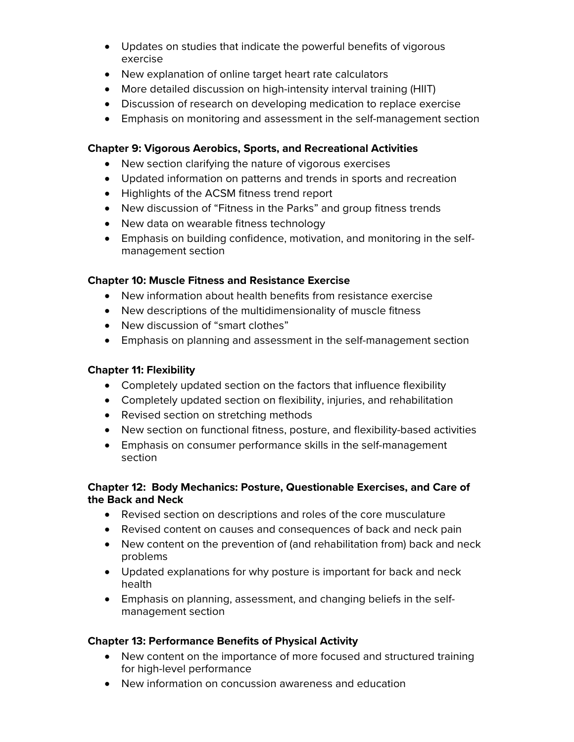- Updates on studies that indicate the powerful benefits of vigorous exercise
- New explanation of online target heart rate calculators
- More detailed discussion on high-intensity interval training (HIIT)
- Discussion of research on developing medication to replace exercise
- Emphasis on monitoring and assessment in the self-management section

#### **Chapter 9: Vigorous Aerobics, Sports, and Recreational Activities**

- New section clarifying the nature of vigorous exercises
- Updated information on patterns and trends in sports and recreation
- Highlights of the ACSM fitness trend report
- New discussion of "Fitness in the Parks" and group fitness trends
- New data on wearable fitness technology
- Emphasis on building confidence, motivation, and monitoring in the selfmanagement section

## **Chapter 10: Muscle Fitness and Resistance Exercise**

- New information about health benefits from resistance exercise
- New descriptions of the multidimensionality of muscle fitness
- New discussion of "smart clothes"
- Emphasis on planning and assessment in the self-management section

## **Chapter 11: Flexibility**

- Completely updated section on the factors that influence flexibility
- Completely updated section on flexibility, injuries, and rehabilitation
- Revised section on stretching methods
- New section on functional fitness, posture, and flexibility-based activities
- Emphasis on consumer performance skills in the self-management section

#### **Chapter 12: Body Mechanics: Posture, Questionable Exercises, and Care of the Back and Neck**

- Revised section on descriptions and roles of the core musculature
- Revised content on causes and consequences of back and neck pain
- New content on the prevention of (and rehabilitation from) back and neck problems
- Updated explanations for why posture is important for back and neck health
- Emphasis on planning, assessment, and changing beliefs in the selfmanagement section

#### **Chapter 13: Performance Benefits of Physical Activity**

- New content on the importance of more focused and structured training for high-level performance
- New information on concussion awareness and education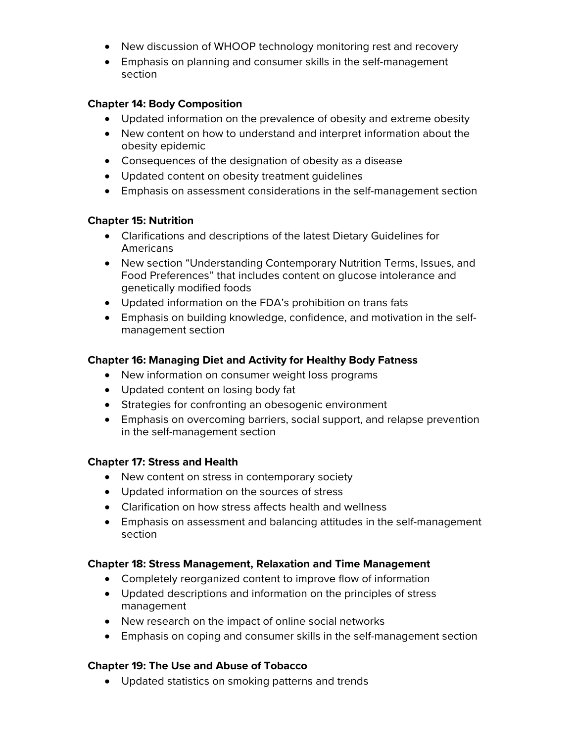- New discussion of WHOOP technology monitoring rest and recovery
- Emphasis on planning and consumer skills in the self-management section

#### **Chapter 14: Body Composition**

- Updated information on the prevalence of obesity and extreme obesity
- New content on how to understand and interpret information about the obesity epidemic
- Consequences of the designation of obesity as a disease
- Updated content on obesity treatment guidelines
- Emphasis on assessment considerations in the self-management section

#### **Chapter 15: Nutrition**

- Clarifications and descriptions of the latest Dietary Guidelines for Americans
- New section "Understanding Contemporary Nutrition Terms, Issues, and Food Preferences" that includes content on glucose intolerance and genetically modified foods
- Updated information on the FDA's prohibition on trans fats
- Emphasis on building knowledge, confidence, and motivation in the selfmanagement section

## **Chapter 16: Managing Diet and Activity for Healthy Body Fatness**

- New information on consumer weight loss programs
- Updated content on losing body fat
- Strategies for confronting an obesogenic environment
- Emphasis on overcoming barriers, social support, and relapse prevention in the self-management section

#### **Chapter 17: Stress and Health**

- New content on stress in contemporary society
- Updated information on the sources of stress
- Clarification on how stress affects health and wellness
- Emphasis on assessment and balancing attitudes in the self-management section

#### **Chapter 18: Stress Management, Relaxation and Time Management**

- Completely reorganized content to improve flow of information
- Updated descriptions and information on the principles of stress management
- New research on the impact of online social networks
- Emphasis on coping and consumer skills in the self-management section

#### **Chapter 19: The Use and Abuse of Tobacco**

• Updated statistics on smoking patterns and trends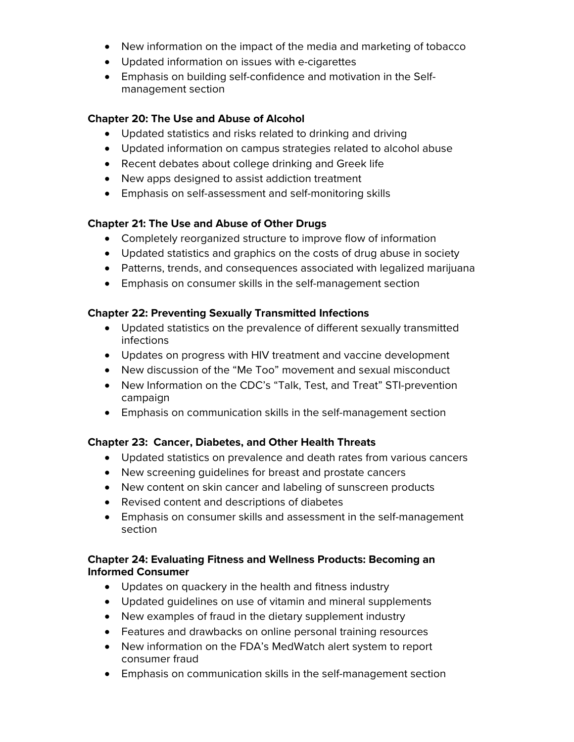- New information on the impact of the media and marketing of tobacco
- Updated information on issues with e-cigarettes
- Emphasis on building self-confidence and motivation in the Selfmanagement section

#### **Chapter 20: The Use and Abuse of Alcohol**

- Updated statistics and risks related to drinking and driving
- Updated information on campus strategies related to alcohol abuse
- Recent debates about college drinking and Greek life
- New apps designed to assist addiction treatment
- Emphasis on self-assessment and self-monitoring skills

## **Chapter 21: The Use and Abuse of Other Drugs**

- Completely reorganized structure to improve flow of information
- Updated statistics and graphics on the costs of drug abuse in society
- Patterns, trends, and consequences associated with legalized marijuana
- Emphasis on consumer skills in the self-management section

#### **Chapter 22: Preventing Sexually Transmitted Infections**

- Updated statistics on the prevalence of different sexually transmitted infections
- Updates on progress with HIV treatment and vaccine development
- New discussion of the "Me Too" movement and sexual misconduct
- New Information on the CDC's "Talk, Test, and Treat" STI-prevention campaign
- Emphasis on communication skills in the self-management section

# **Chapter 23: Cancer, Diabetes, and Other Health Threats**

- Updated statistics on prevalence and death rates from various cancers
- New screening guidelines for breast and prostate cancers
- New content on skin cancer and labeling of sunscreen products
- Revised content and descriptions of diabetes
- Emphasis on consumer skills and assessment in the self-management section

## **Chapter 24: Evaluating Fitness and Wellness Products: Becoming an Informed Consumer**

- Updates on quackery in the health and fitness industry
- Updated guidelines on use of vitamin and mineral supplements
- New examples of fraud in the dietary supplement industry
- Features and drawbacks on online personal training resources
- New information on the FDA's MedWatch alert system to report consumer fraud
- Emphasis on communication skills in the self-management section